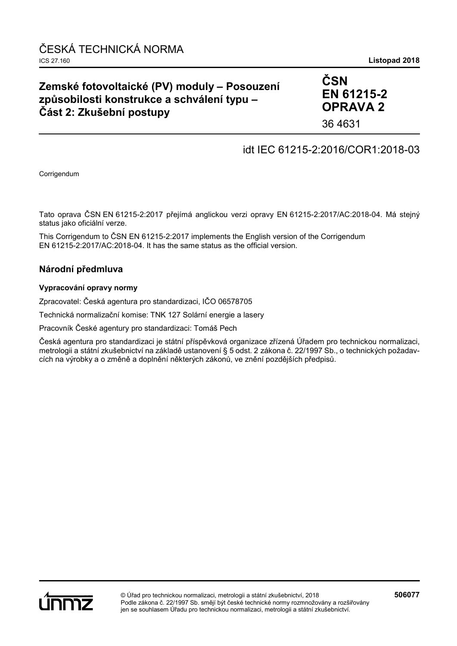# **Zemské fotovoltaické (PV) moduly – Posouzení způsobilosti konstrukce a schválení typu – Část 2: Zkušební postupy**

# **ČSN EN 61215-2 OPRAVA 2**

36 4631

## idt IEC 61215-2:2016/COR1:2018-03

**Corrigendum** 

Tato oprava ČSN EN 61215-2:2017 přejímá anglickou verzi opravy EN 61215-2:2017/AC:2018-04. Má stejný status jako oficiální verze.

This Corrigendum to ČSN EN 61215-2:2017 implements the English version of the Corrigendum EN 61215-2:2017/AC:2018-04. It has the same status as the official version.

## **Národní předmluva**

#### **Vypracování opravy normy**

Zpracovatel: Česká agentura pro standardizaci, IČO 06578705

Technická normalizační komise: TNK 127 Solární energie a lasery

Pracovník České agentury pro standardizaci: Tomáš Pech

Česká agentura pro standardizaci je státní příspěvková organizace zřízená Úřadem pro technickou normalizaci, metrologii a státní zkušebnictví na základě ustanovení § 5 odst. 2 zákona č. 22/1997 Sb., o technických požadavcích na výrobky a o změně a doplnění některých zákonů, ve znění pozdějších předpisů.

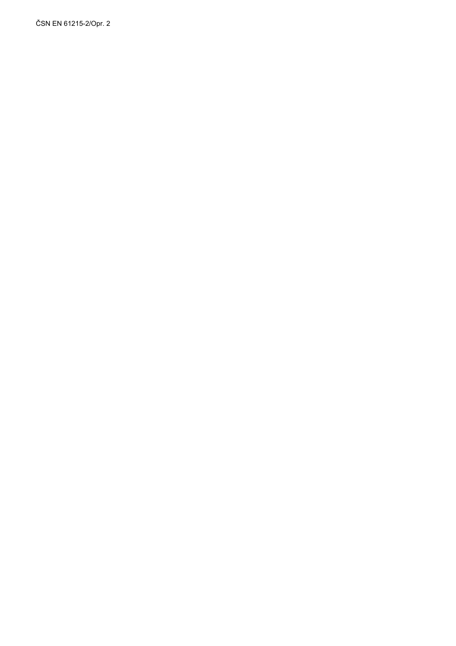ČSN EN 61215-2/Opr. 2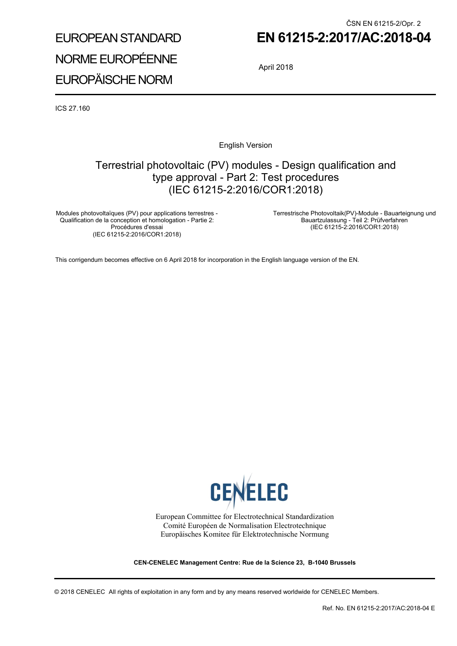# EUROPEAN STANDARD NORME EUROPÉENNE EUROPÄISCHE NORM

April 2018

ICS 27.160

English Version

## Terrestrial photovoltaic (PV) modules - Design qualification and type approval - Part 2: Test procedures (IEC 61215-2:2016/COR1:2018)

Modules photovoltaïques (PV) pour applications terrestres - Qualification de la conception et homologation - Partie 2: Procédures d'essai (IEC 61215-2:2016/COR1:2018)

 Terrestrische Photovoltaik(PV)-Module - Bauarteignung und Bauartzulassung - Teil 2: Prüfverfahren (IEC 61215-2:2016/COR1:2018)

This corrigendum becomes effective on 6 April 2018 for incorporation in the English language version of the EN.



European Committee for Electrotechnical Standardization Comité Européen de Normalisation Electrotechnique Europäisches Komitee für Elektrotechnische Normung

**CEN-CENELEC Management Centre: Rue de la Science 23, B-1040 Brussels** 

© 2018 CENELEC All rights of exploitation in any form and by any means reserved worldwide for CENELEC Members.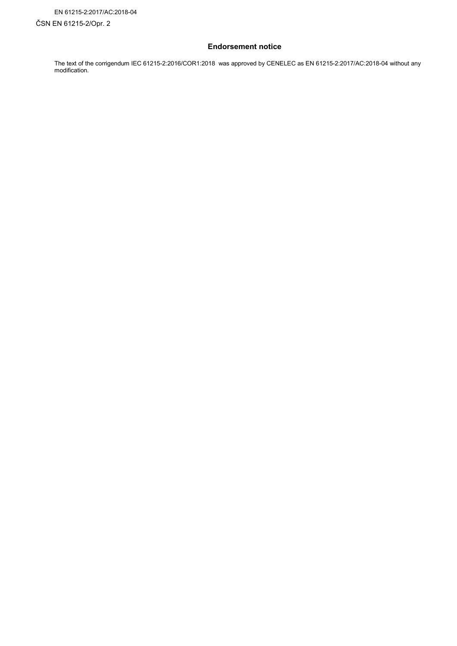EN 61215-2:2017/AC:2018-04

ČSN EN 61215-2/Opr. 2

## **Endorsement notice**

The text of the corrigendum IEC 61215-2:2016/COR1:2018 was approved by CENELEC as EN 61215-2:2017/AC:2018-04 without any modification.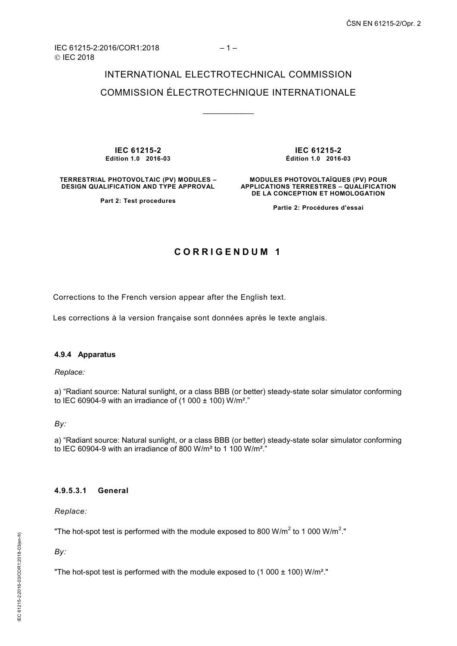\_\_\_\_\_\_\_\_\_\_\_\_

**IEC 61215-2 Edition 1.0 2016-03**

**TERRESTRIAL PHOTOVOLTAIC (PV) MODULES – DESIGN QUALIFICATION AND TYPE APPROVAL**

**Part 2: Test procedures**

**IEC 61215-2 Édition 1.0 2016-03**

**MODULES PHOTOVOLTAÏQUES (PV) POUR APPLICATIONS TERRESTRES – QUALIFICATION DE LA CONCEPTION ET HOMOLOGATION**

**Partie 2: Procédures d'essai**

## **CORRIGENDUM 1**

Corrections to the French version appear after the English text.

Les corrections à la version française sont données après le texte anglais.

#### **4.9.4 Apparatus**

*Replace:*

a) "Radiant source: Natural sunlight, or a class BBB (or better) steady-state solar simulator conforming to IEC 60904-9 with an irradiance of  $(1\ 000 \pm 100)$  W/m<sup>2</sup>."

*By:*

a) "Radiant source: Natural sunlight, or a class BBB (or better) steady-state solar simulator conforming to IEC 60904-9 with an irradiance of 800 W/m<sup>2</sup> to 1 100 W/m<sup>2</sup>.

## **4.9.5.3.1 General**

*Replace:*

"The hot-spot test is performed with the module exposed to 800 W/m<sup>2</sup> to 1 000 W/m<sup>2</sup>."

*By:*

"The hot-spot test is performed with the module exposed to  $(1\ 000 \pm 100)$  W/m<sup>2</sup>."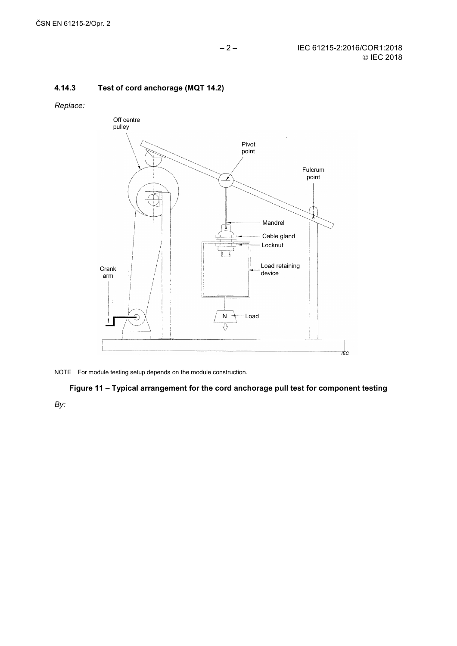## **4.14.3 Test of cord anchorage (MQT 14.2)**

*Replace:*



NOTE For module testing setup depends on the module construction.

**Figure 11 – Typical arrangement for the cord anchorage pull test for component testing**  *By:*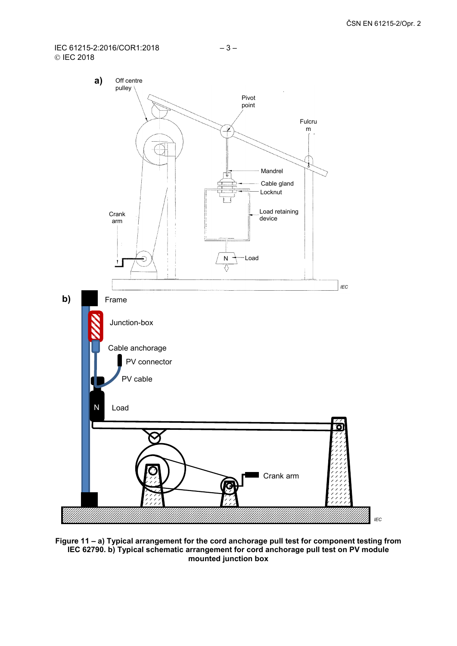

**Figure 11 – a) Typical arrangement for the cord anchorage pull test for component testing from IEC 62790. b) Typical schematic arrangement for cord anchorage pull test on PV module mounted junction box**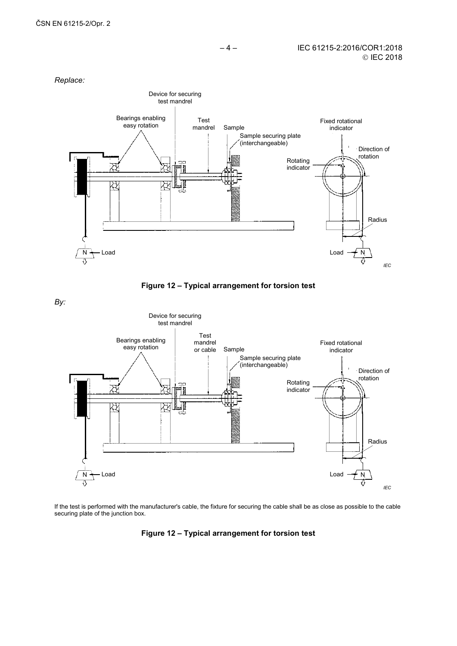*Replace:*





*By:*



If the test is performed with the manufacturer's cable, the fixture for securing the cable shall be as close as possible to the cable securing plate of the junction box.

**Figure 12 – Typical arrangement for torsion test**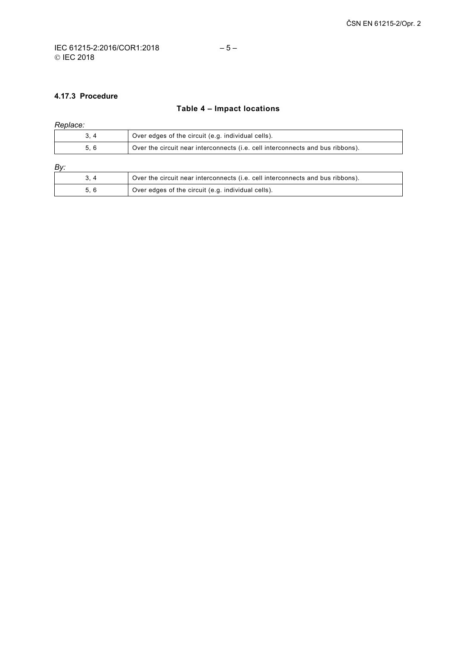## IEC 61215-2:2016/COR1:2018 – 5 – © IEC 2018

## **4.17.3 Procedure**

## **Table 4 – Impact locations**

## *Replace:*

|     | Over edges of the circuit (e.g. individual cells).                             |
|-----|--------------------------------------------------------------------------------|
| 5.6 | Over the circuit near interconnects (i.e. cell interconnects and bus ribbons). |
|     |                                                                                |

| ۰. |
|----|
|----|

|     | Over the circuit near interconnects (i.e. cell interconnects and bus ribbons). |
|-----|--------------------------------------------------------------------------------|
| 5.6 | Over edges of the circuit (e.g. individual cells).                             |